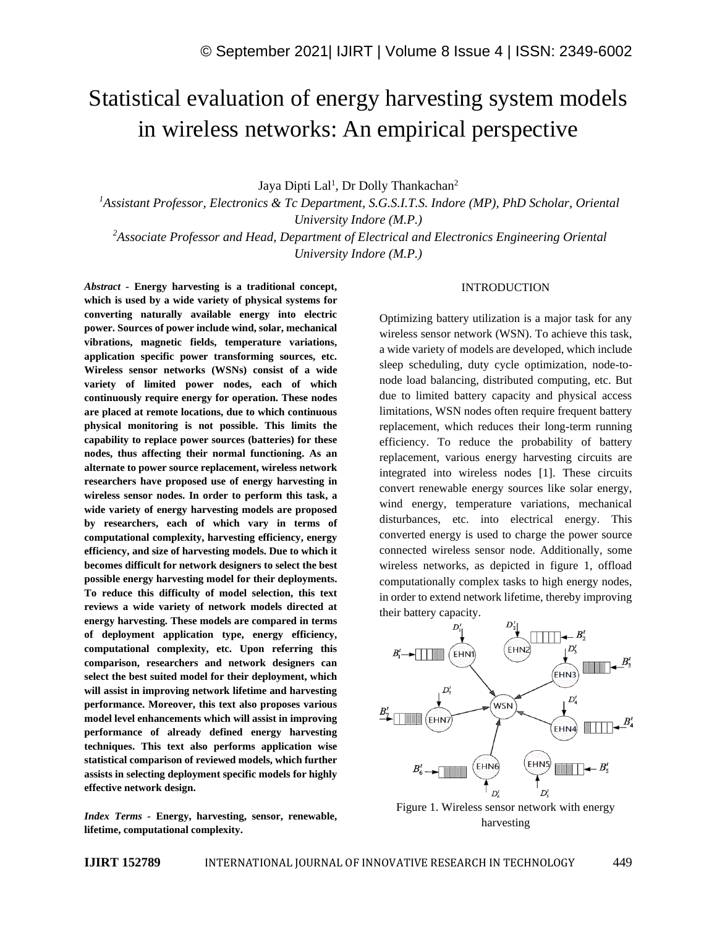# Statistical evaluation of energy harvesting system models in wireless networks: An empirical perspective

Jaya Dipti Lal<sup>1</sup>, Dr Dolly Thankachan<sup>2</sup>

*<sup>1</sup>Assistant Professor, Electronics & Tc Department, S.G.S.I.T.S. Indore (MP), PhD Scholar, Oriental University Indore (M.P.)*

*<sup>2</sup>Associate Professor and Head, Department of Electrical and Electronics Engineering Oriental University Indore (M.P.)*

*Abstract -* **Energy harvesting is a traditional concept, which is used by a wide variety of physical systems for converting naturally available energy into electric power. Sources of power include wind, solar, mechanical vibrations, magnetic fields, temperature variations, application specific power transforming sources, etc. Wireless sensor networks (WSNs) consist of a wide variety of limited power nodes, each of which continuously require energy for operation. These nodes are placed at remote locations, due to which continuous physical monitoring is not possible. This limits the capability to replace power sources (batteries) for these nodes, thus affecting their normal functioning. As an alternate to power source replacement, wireless network researchers have proposed use of energy harvesting in wireless sensor nodes. In order to perform this task, a wide variety of energy harvesting models are proposed by researchers, each of which vary in terms of computational complexity, harvesting efficiency, energy efficiency, and size of harvesting models. Due to which it becomes difficult for network designers to select the best possible energy harvesting model for their deployments. To reduce this difficulty of model selection, this text reviews a wide variety of network models directed at energy harvesting. These models are compared in terms of deployment application type, energy efficiency, computational complexity, etc. Upon referring this comparison, researchers and network designers can select the best suited model for their deployment, which will assist in improving network lifetime and harvesting performance. Moreover, this text also proposes various model level enhancements which will assist in improving performance of already defined energy harvesting techniques. This text also performs application wise statistical comparison of reviewed models, which further assists in selecting deployment specific models for highly effective network design.**

*Index Terms -* **Energy, harvesting, sensor, renewable, lifetime, computational complexity.**

#### INTRODUCTION

Optimizing battery utilization is a major task for any wireless sensor network (WSN). To achieve this task, a wide variety of models are developed, which include sleep scheduling, duty cycle optimization, node-tonode load balancing, distributed computing, etc. But due to limited battery capacity and physical access limitations, WSN nodes often require frequent battery replacement, which reduces their long-term running efficiency. To reduce the probability of battery replacement, various energy harvesting circuits are integrated into wireless nodes [1]. These circuits convert renewable energy sources like solar energy, wind energy, temperature variations, mechanical disturbances, etc. into electrical energy. This converted energy is used to charge the power source connected wireless sensor node. Additionally, some wireless networks, as depicted in figure 1, offload computationally complex tasks to high energy nodes, in order to extend network lifetime, thereby improving their battery capacity.



Figure 1. Wireless sensor network with energy harvesting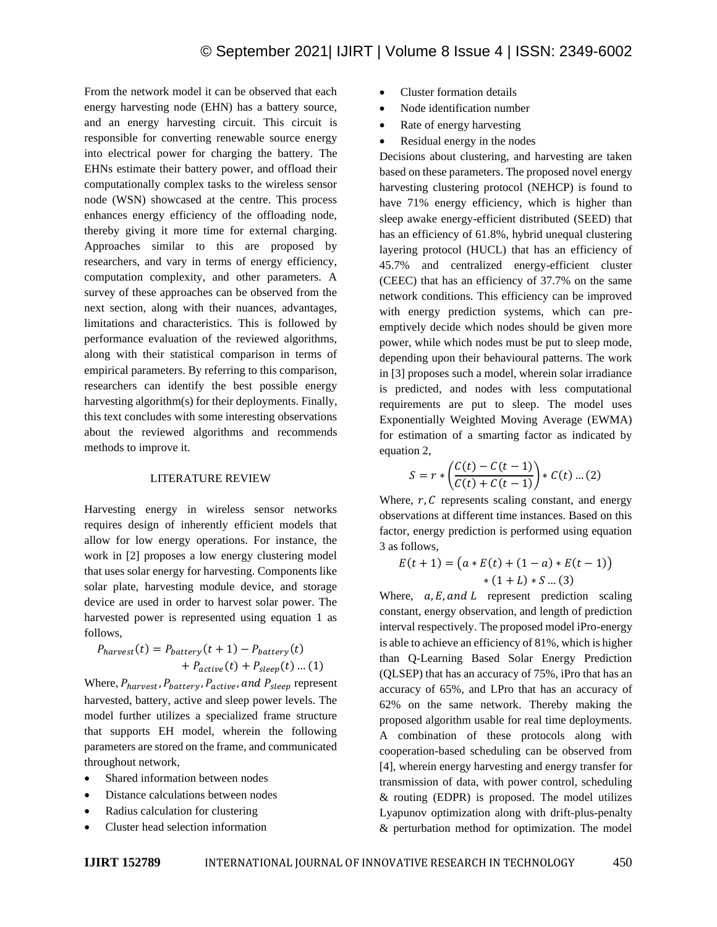From the network model it can be observed that each energy harvesting node (EHN) has a battery source, and an energy harvesting circuit. This circuit is responsible for converting renewable source energy into electrical power for charging the battery. The EHNs estimate their battery power, and offload their computationally complex tasks to the wireless sensor node (WSN) showcased at the centre. This process enhances energy efficiency of the offloading node, thereby giving it more time for external charging. Approaches similar to this are proposed by researchers, and vary in terms of energy efficiency, computation complexity, and other parameters. A survey of these approaches can be observed from the next section, along with their nuances, advantages, limitations and characteristics. This is followed by performance evaluation of the reviewed algorithms, along with their statistical comparison in terms of empirical parameters. By referring to this comparison, researchers can identify the best possible energy harvesting algorithm(s) for their deployments. Finally, this text concludes with some interesting observations about the reviewed algorithms and recommends methods to improve it.

#### LITERATURE REVIEW

Harvesting energy in wireless sensor networks requires design of inherently efficient models that allow for low energy operations. For instance, the work in [2] proposes a low energy clustering model that uses solar energy for harvesting. Components like solar plate, harvesting module device, and storage device are used in order to harvest solar power. The harvested power is represented using equation 1 as follows,

$$
P_{harvest}(t) = P_{battery}(t + 1) - P_{battery}(t) + P_{active}(t) + P_{sleep}(t) + P_{sleep}(t) \dots (1)
$$

Where,  $P_{harvest}$ ,  $P_{battery}$ ,  $P_{active}$ , and  $P_{sleep}$  represent harvested, battery, active and sleep power levels. The model further utilizes a specialized frame structure that supports EH model, wherein the following parameters are stored on the frame, and communicated throughout network,

- Shared information between nodes
- Distance calculations between nodes
- Radius calculation for clustering
- Cluster head selection information
- Cluster formation details
- Node identification number
- Rate of energy harvesting
- Residual energy in the nodes

Decisions about clustering, and harvesting are taken based on these parameters. The proposed novel energy harvesting clustering protocol (NEHCP) is found to have 71% energy efficiency, which is higher than sleep awake energy-efficient distributed (SEED) that has an efficiency of 61.8%, hybrid unequal clustering layering protocol (HUCL) that has an efficiency of 45.7% and centralized energy-efficient cluster (CEEC) that has an efficiency of 37.7% on the same network conditions. This efficiency can be improved with energy prediction systems, which can preemptively decide which nodes should be given more power, while which nodes must be put to sleep mode, depending upon their behavioural patterns. The work in [3] proposes such a model, wherein solar irradiance is predicted, and nodes with less computational requirements are put to sleep. The model uses Exponentially Weighted Moving Average (EWMA) for estimation of a smarting factor as indicated by equation 2,

$$
S = r * \left( \frac{C(t) - C(t - 1)}{C(t) + C(t - 1)} \right) * C(t) ... (2)
$$

Where,  $r$ ,  $C$  represents scaling constant, and energy observations at different time instances. Based on this factor, energy prediction is performed using equation 3 as follows,

$$
E(t + 1) = (a * E(t) + (1 - a) * E(t - 1))
$$
  
 \* (1 + L) \* S ... (3)

Where,  $a, E, and L$  represent prediction scaling constant, energy observation, and length of prediction interval respectively. The proposed model iPro-energy is able to achieve an efficiency of 81%, which is higher than Q-Learning Based Solar Energy Prediction (QLSEP) that has an accuracy of 75%, iPro that has an accuracy of 65%, and LPro that has an accuracy of 62% on the same network. Thereby making the proposed algorithm usable for real time deployments. A combination of these protocols along with cooperation-based scheduling can be observed from [4], wherein energy harvesting and energy transfer for transmission of data, with power control, scheduling & routing (EDPR) is proposed. The model utilizes Lyapunov optimization along with drift-plus-penalty & perturbation method for optimization. The model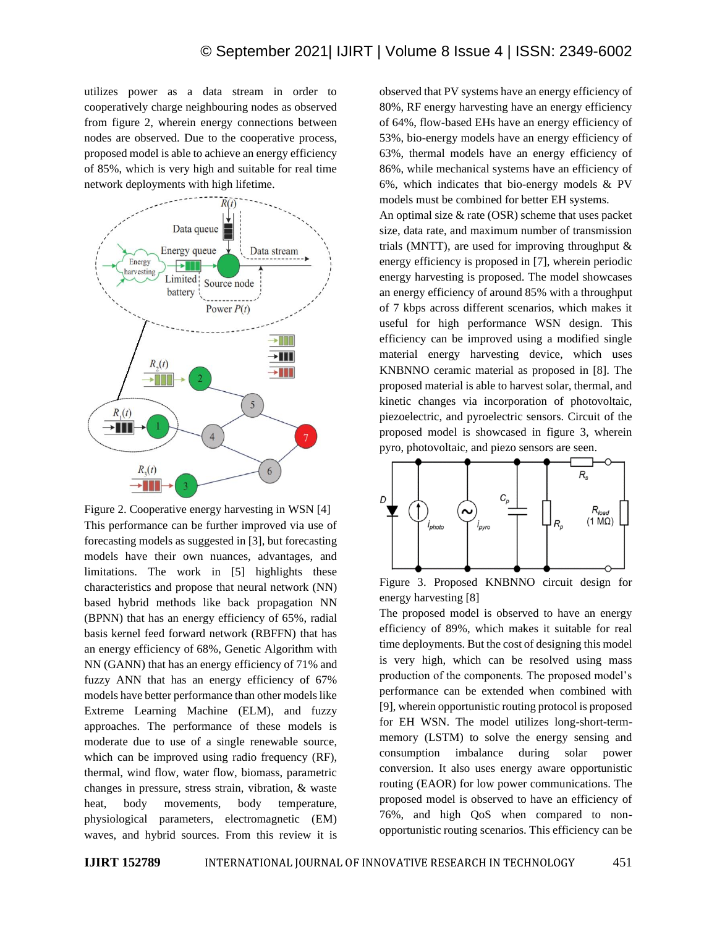utilizes power as a data stream in order to cooperatively charge neighbouring nodes as observed from figure 2, wherein energy connections between nodes are observed. Due to the cooperative process, proposed model is able to achieve an energy efficiency of 85%, which is very high and suitable for real time network deployments with high lifetime.



Figure 2. Cooperative energy harvesting in WSN [4] This performance can be further improved via use of forecasting models as suggested in [3], but forecasting models have their own nuances, advantages, and limitations. The work in [5] highlights these characteristics and propose that neural network (NN) based hybrid methods like back propagation NN (BPNN) that has an energy efficiency of 65%, radial basis kernel feed forward network (RBFFN) that has an energy efficiency of 68%, Genetic Algorithm with NN (GANN) that has an energy efficiency of 71% and fuzzy ANN that has an energy efficiency of 67% models have better performance than other models like Extreme Learning Machine (ELM), and fuzzy approaches. The performance of these models is moderate due to use of a single renewable source, which can be improved using radio frequency (RF), thermal, wind flow, water flow, biomass, parametric changes in pressure, stress strain, vibration, & waste heat, body movements, body temperature, physiological parameters, electromagnetic (EM) waves, and hybrid sources. From this review it is

observed that PV systems have an energy efficiency of 80%, RF energy harvesting have an energy efficiency of 64%, flow-based EHs have an energy efficiency of 53%, bio-energy models have an energy efficiency of 63%, thermal models have an energy efficiency of 86%, while mechanical systems have an efficiency of 6%, which indicates that bio-energy models & PV models must be combined for better EH systems.

An optimal size  $\&$  rate (OSR) scheme that uses packet size, data rate, and maximum number of transmission trials (MNTT), are used for improving throughput  $\&$ energy efficiency is proposed in [7], wherein periodic energy harvesting is proposed. The model showcases an energy efficiency of around 85% with a throughput of 7 kbps across different scenarios, which makes it useful for high performance WSN design. This efficiency can be improved using a modified single material energy harvesting device, which uses KNBNNO ceramic material as proposed in [8]. The proposed material is able to harvest solar, thermal, and kinetic changes via incorporation of photovoltaic, piezoelectric, and pyroelectric sensors. Circuit of the proposed model is showcased in figure 3, wherein pyro, photovoltaic, and piezo sensors are seen.



Figure 3. Proposed KNBNNO circuit design for energy harvesting [8]

The proposed model is observed to have an energy efficiency of 89%, which makes it suitable for real time deployments. But the cost of designing this model is very high, which can be resolved using mass production of the components. The proposed model's performance can be extended when combined with [9], wherein opportunistic routing protocol is proposed for EH WSN. The model utilizes long-short-termmemory (LSTM) to solve the energy sensing and consumption imbalance during solar power conversion. It also uses energy aware opportunistic routing (EAOR) for low power communications. The proposed model is observed to have an efficiency of 76%, and high QoS when compared to nonopportunistic routing scenarios. This efficiency can be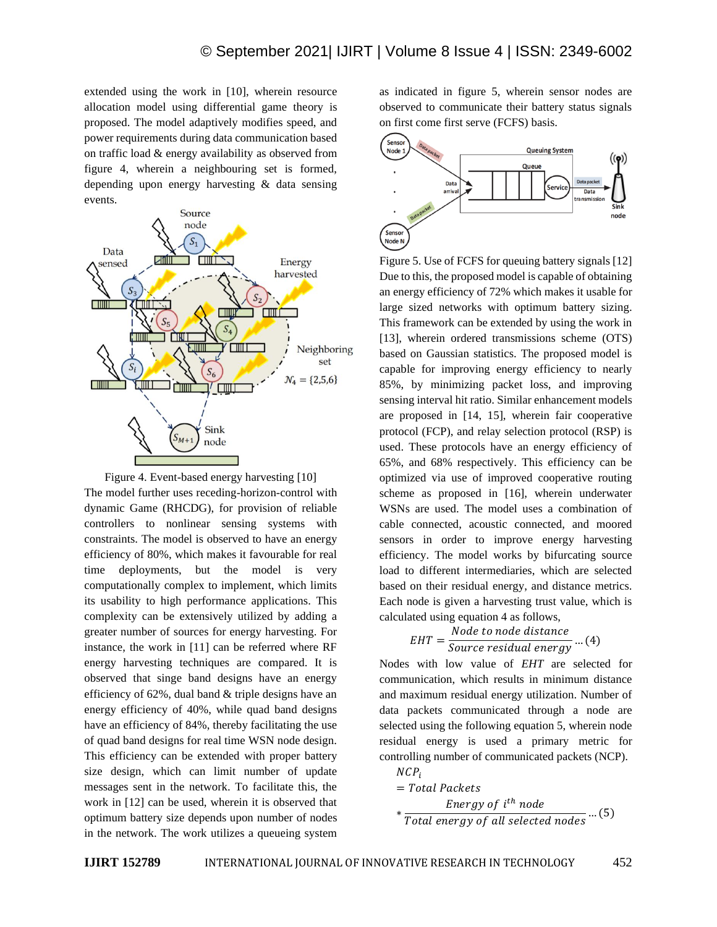extended using the work in [10], wherein resource allocation model using differential game theory is proposed. The model adaptively modifies speed, and power requirements during data communication based on traffic load & energy availability as observed from figure 4, wherein a neighbouring set is formed, depending upon energy harvesting & data sensing events.



Figure 4. Event-based energy harvesting [10] The model further uses receding-horizon-control with dynamic Game (RHCDG), for provision of reliable controllers to nonlinear sensing systems with constraints. The model is observed to have an energy efficiency of 80%, which makes it favourable for real time deployments, but the model is very computationally complex to implement, which limits its usability to high performance applications. This complexity can be extensively utilized by adding a greater number of sources for energy harvesting. For instance, the work in [11] can be referred where RF energy harvesting techniques are compared. It is observed that singe band designs have an energy efficiency of 62%, dual band & triple designs have an energy efficiency of 40%, while quad band designs have an efficiency of 84%, thereby facilitating the use of quad band designs for real time WSN node design. This efficiency can be extended with proper battery size design, which can limit number of update messages sent in the network. To facilitate this, the work in [12] can be used, wherein it is observed that optimum battery size depends upon number of nodes in the network. The work utilizes a queueing system

as indicated in figure 5, wherein sensor nodes are observed to communicate their battery status signals on first come first serve (FCFS) basis.



Figure 5. Use of FCFS for queuing battery signals [12] Due to this, the proposed model is capable of obtaining an energy efficiency of 72% which makes it usable for large sized networks with optimum battery sizing. This framework can be extended by using the work in [13], wherein ordered transmissions scheme (OTS) based on Gaussian statistics. The proposed model is capable for improving energy efficiency to nearly 85%, by minimizing packet loss, and improving sensing interval hit ratio. Similar enhancement models are proposed in [14, 15], wherein fair cooperative protocol (FCP), and relay selection protocol (RSP) is used. These protocols have an energy efficiency of 65%, and 68% respectively. This efficiency can be optimized via use of improved cooperative routing scheme as proposed in [16], wherein underwater WSNs are used. The model uses a combination of cable connected, acoustic connected, and moored sensors in order to improve energy harvesting efficiency. The model works by bifurcating source load to different intermediaries, which are selected based on their residual energy, and distance metrics. Each node is given a harvesting trust value, which is calculated using equation 4 as follows,

$$
EHT = \frac{Node\ to\ node\ distance}{Source\ residual\ energy} \dots (4)
$$

Nodes with low value of *EHT* are selected for communication, which results in minimum distance and maximum residual energy utilization. Number of data packets communicated through a node are selected using the following equation 5, wherein node residual energy is used a primary metric for controlling number of communicated packets (NCP).  $NCP$ 

$$
= Total \text{ Packets}
$$
\n
$$
* \frac{Energy \text{ of } i^{th} \text{ node}}{Total \text{ energy of all selected nodes}} \dots (5)
$$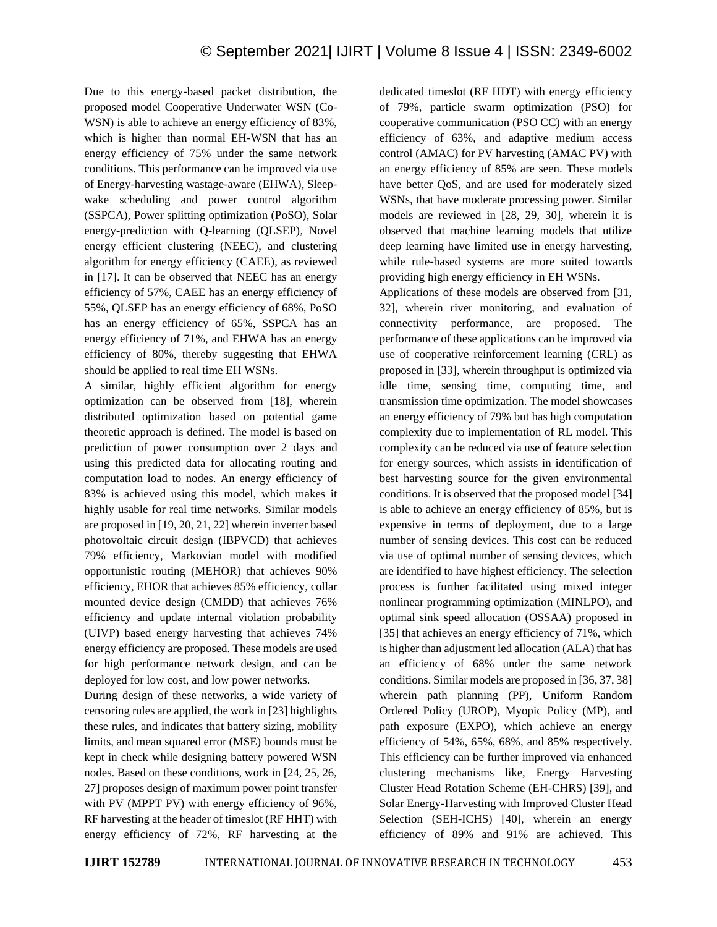Due to this energy-based packet distribution, the proposed model Cooperative Underwater WSN (Co-WSN) is able to achieve an energy efficiency of 83%, which is higher than normal EH-WSN that has an energy efficiency of 75% under the same network conditions. This performance can be improved via use of Energy-harvesting wastage-aware (EHWA), Sleepwake scheduling and power control algorithm (SSPCA), Power splitting optimization (PoSO), Solar energy-prediction with Q-learning (QLSEP), Novel energy efficient clustering (NEEC), and clustering algorithm for energy efficiency (CAEE), as reviewed in [17]. It can be observed that NEEC has an energy efficiency of 57%, CAEE has an energy efficiency of 55%, QLSEP has an energy efficiency of 68%, PoSO has an energy efficiency of 65%, SSPCA has an energy efficiency of 71%, and EHWA has an energy efficiency of 80%, thereby suggesting that EHWA should be applied to real time EH WSNs.

A similar, highly efficient algorithm for energy optimization can be observed from [18], wherein distributed optimization based on potential game theoretic approach is defined. The model is based on prediction of power consumption over 2 days and using this predicted data for allocating routing and computation load to nodes. An energy efficiency of 83% is achieved using this model, which makes it highly usable for real time networks. Similar models are proposed in [19, 20, 21, 22] wherein inverter based photovoltaic circuit design (IBPVCD) that achieves 79% efficiency, Markovian model with modified opportunistic routing (MEHOR) that achieves 90% efficiency, EHOR that achieves 85% efficiency, collar mounted device design (CMDD) that achieves 76% efficiency and update internal violation probability (UIVP) based energy harvesting that achieves 74% energy efficiency are proposed. These models are used for high performance network design, and can be deployed for low cost, and low power networks.

During design of these networks, a wide variety of censoring rules are applied, the work in [23] highlights these rules, and indicates that battery sizing, mobility limits, and mean squared error (MSE) bounds must be kept in check while designing battery powered WSN nodes. Based on these conditions, work in [24, 25, 26, 27] proposes design of maximum power point transfer with PV (MPPT PV) with energy efficiency of 96%, RF harvesting at the header of timeslot (RF HHT) with energy efficiency of 72%, RF harvesting at the dedicated timeslot (RF HDT) with energy efficiency of 79%, particle swarm optimization (PSO) for cooperative communication (PSO CC) with an energy efficiency of 63%, and adaptive medium access control (AMAC) for PV harvesting (AMAC PV) with an energy efficiency of 85% are seen. These models have better QoS, and are used for moderately sized WSNs, that have moderate processing power. Similar models are reviewed in [28, 29, 30], wherein it is observed that machine learning models that utilize deep learning have limited use in energy harvesting, while rule-based systems are more suited towards providing high energy efficiency in EH WSNs.

Applications of these models are observed from [31, 32], wherein river monitoring, and evaluation of connectivity performance, are proposed. The performance of these applications can be improved via use of cooperative reinforcement learning (CRL) as proposed in [33], wherein throughput is optimized via idle time, sensing time, computing time, and transmission time optimization. The model showcases an energy efficiency of 79% but has high computation complexity due to implementation of RL model. This complexity can be reduced via use of feature selection for energy sources, which assists in identification of best harvesting source for the given environmental conditions. It is observed that the proposed model [34] is able to achieve an energy efficiency of 85%, but is expensive in terms of deployment, due to a large number of sensing devices. This cost can be reduced via use of optimal number of sensing devices, which are identified to have highest efficiency. The selection process is further facilitated using mixed integer nonlinear programming optimization (MINLPO), and optimal sink speed allocation (OSSAA) proposed in [35] that achieves an energy efficiency of 71%, which is higher than adjustment led allocation (ALA) that has an efficiency of 68% under the same network conditions. Similar models are proposed in [36, 37, 38] wherein path planning (PP), Uniform Random Ordered Policy (UROP), Myopic Policy (MP), and path exposure (EXPO), which achieve an energy efficiency of 54%, 65%, 68%, and 85% respectively. This efficiency can be further improved via enhanced clustering mechanisms like, Energy Harvesting Cluster Head Rotation Scheme (EH-CHRS) [39], and Solar Energy-Harvesting with Improved Cluster Head Selection (SEH-ICHS) [40], wherein an energy efficiency of 89% and 91% are achieved. This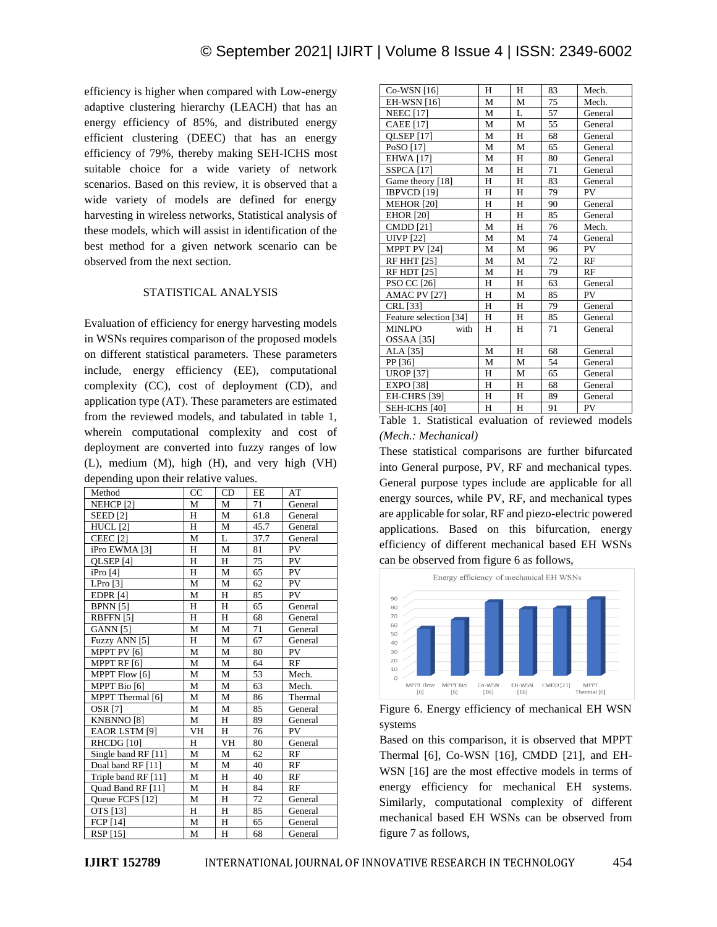efficiency is higher when compared with Low-energy adaptive clustering hierarchy (LEACH) that has an energy efficiency of 85%, and distributed energy efficient clustering (DEEC) that has an energy efficiency of 79%, thereby making SEH-ICHS most suitable choice for a wide variety of network scenarios. Based on this review, it is observed that a wide variety of models are defined for energy harvesting in wireless networks, Statistical analysis of these models, which will assist in identification of the best method for a given network scenario can be observed from the next section.

### STATISTICAL ANALYSIS

Evaluation of efficiency for energy harvesting models in WSNs requires comparison of the proposed models on different statistical parameters. These parameters include, energy efficiency (EE), computational complexity (CC), cost of deployment (CD), and application type (AT). These parameters are estimated from the reviewed models, and tabulated in table 1, wherein computational complexity and cost of deployment are converted into fuzzy ranges of low (L), medium (M), high (H), and very high (VH) depending upon their relative values.

| Method                     | CC | CD | EE   | AT        |
|----------------------------|----|----|------|-----------|
| NEHCP <sub>[2]</sub>       | М  | M  | 71   | General   |
| <b>SEED</b> [2]            | H  | M  | 61.8 | General   |
| HUCL <sub>[2]</sub>        | H  | M  | 45.7 | General   |
| <b>CEEC</b> <sub>[2]</sub> | М  | L  | 37.7 | General   |
| iPro EWMA <sup>[3]</sup>   | H  | M  | 81   | PV        |
| QLSEP <sub>[4]</sub>       | H  | H  | 75   | <b>PV</b> |
| iPro [4]                   | H  | M  | 65   | PV        |
| LPro $[3]$                 | M  | M  | 62   | PV        |
| <b>EDPR [4]</b>            | М  | H  | 85   | PV        |
| <b>BPNN</b> [5]            | H  | H  | 65   | General   |
| RBFFN <sub>[5]</sub>       | H  | H  | 68   | General   |
| <b>GANN</b> [5]            | М  | M  | 71   | General   |
| Fuzzy ANN [5]              | H  | M  | 67   | General   |
| MPPT PV [6]                | M  | M  | 80   | PV        |
| MPPT RF [6]                | M  | M  | 64   | RF        |
| MPPT Flow [6]              | М  | M  | 53   | Mech.     |
| MPPT Bio [6]               | М  | M  | 63   | Mech.     |
| MPPT Thermal [6]           | M  | M  | 86   | Thermal   |
| <b>OSR [7]</b>             | М  | М  | 85   | General   |
| KNBNNO <sup>[8]</sup>      | М  | H  | 89   | General   |
| EAOR LSTM [9]              | VH | H  | 76   | <b>PV</b> |
| RHCDG [10]                 | H  | VH | 80   | General   |
| Single band RF [11]        | M  | M  | 62   | RF        |
| Dual band RF [11]          | М  | М  | 40   | RF        |
| Triple band RF [11]        | M  | H  | 40   | RF        |
| Ouad Band RF [11]          | M  | H  | 84   | RF        |
| Queue FCFS [12]            | M  | H  | 72   | General   |
| OTS [13]                   | H  | H  | 85   | General   |
| <b>FCP</b> [14]            | M  | Н  | 65   | General   |
| RSP [15]                   | M  | H  | 68   | General   |

| Co-WSN [16]            | Н | Н | 83              | Mech.   |
|------------------------|---|---|-----------------|---------|
| <b>EH-WSN</b> [16]     | М | M | 75              | Mech.   |
| <b>NEEC</b> [17]       | М | L | 57              | General |
| <b>CAEE</b> [17]       | M | M | 55              | General |
| <b>QLSEP</b> [17]      | М | H | 68              | General |
| PoSO [17]              | М | М | 65              | General |
| <b>EHWA [17]</b>       | М | H | 80              | General |
| <b>SSPCA</b> [17]      | М | H | 71              | General |
| Game theory [18]       | H | H | 83              | General |
| IBPVCD <sup>[19]</sup> | H | H | 79              | PV      |
| <b>MEHOR</b> [20]      | H | H | 90              | General |
| <b>EHOR</b> [20]       | H | H | 85              | General |
| <b>CMDD</b> [21]       | M | H | 76              | Mech.   |
| <b>UIVP</b> [22]       | M | M | 74              | General |
| MPPT PV [24]           | М | М | 96              | PV      |
| <b>RF HHT [25]</b>     | M | M | $\overline{72}$ | RF      |
| <b>RF HDT [25]</b>     | M | H | 79              | RF      |
| PSO CC [26]            | H | H | 63              | General |
| AMAC PV [27]           | H | M | 85              | PV      |
| CRL [33]               | H | H | 79              | General |
| Feature selection [34] | H | H | 85              | General |
| <b>MINLPO</b><br>with  | H | H | 71              | General |
| OSSAA [35]             |   |   |                 |         |
| ALA [35]               | M | H | 68              | General |
| PP [36]                | М | М | 54              | General |
| <b>UROP</b> [37]       | H | М | 65              | General |
| <b>EXPO</b> [38]       | Н | Н | 68              | General |
| EH-CHRS [39]           | H | H | 89              | General |
| SEH-ICHS [40]          | H | H | 91              | PV      |

Table 1. Statistical evaluation of reviewed models *(Mech.: Mechanical)*

These statistical comparisons are further bifurcated into General purpose, PV, RF and mechanical types. General purpose types include are applicable for all energy sources, while PV, RF, and mechanical types are applicable for solar, RF and piezo-electric powered applications. Based on this bifurcation, energy efficiency of different mechanical based EH WSNs can be observed from figure 6 as follows,



Figure 6. Energy efficiency of mechanical EH WSN systems

Based on this comparison, it is observed that MPPT Thermal [6], Co-WSN [16], CMDD [21], and EH-WSN [16] are the most effective models in terms of energy efficiency for mechanical EH systems. Similarly, computational complexity of different mechanical based EH WSNs can be observed from figure 7 as follows,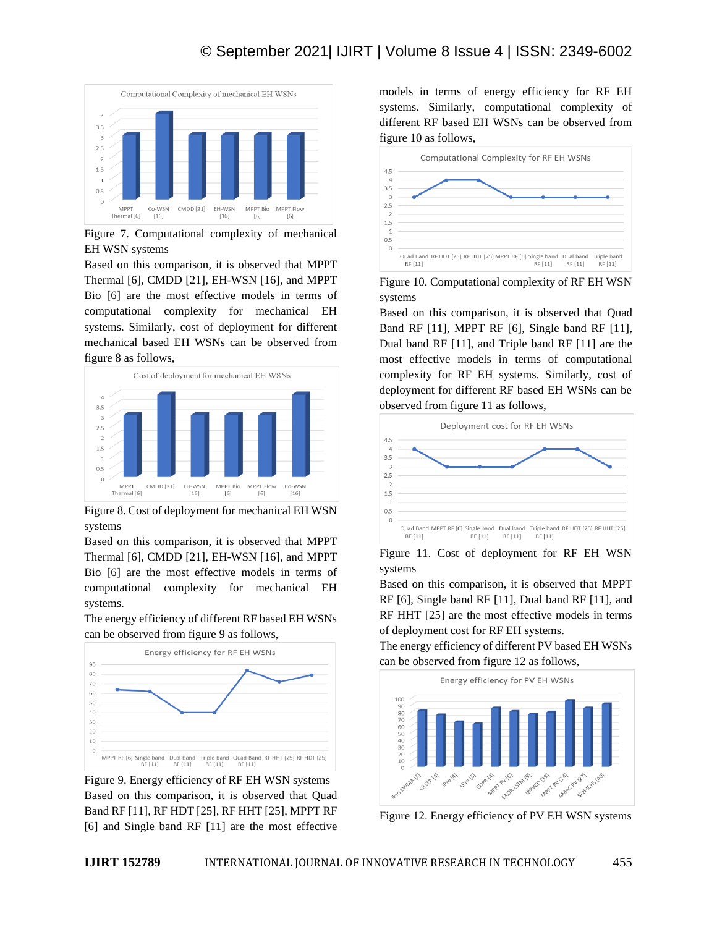

Figure 7. Computational complexity of mechanical EH WSN systems

Based on this comparison, it is observed that MPPT Thermal [6], CMDD [21], EH-WSN [16], and MPPT Bio [6] are the most effective models in terms of computational complexity for mechanical EH systems. Similarly, cost of deployment for different mechanical based EH WSNs can be observed from figure 8 as follows,



Figure 8. Cost of deployment for mechanical EH WSN systems

Based on this comparison, it is observed that MPPT Thermal [6], CMDD [21], EH-WSN [16], and MPPT Bio [6] are the most effective models in terms of computational complexity for mechanical EH systems.

The energy efficiency of different RF based EH WSNs can be observed from figure 9 as follows,



Figure 9. Energy efficiency of RF EH WSN systems Based on this comparison, it is observed that Quad Band RF [11], RF HDT [25], RF HHT [25], MPPT RF [6] and Single band RF [11] are the most effective

models in terms of energy efficiency for RF EH systems. Similarly, computational complexity of different RF based EH WSNs can be observed from figure 10 as follows,



Figure 10. Computational complexity of RF EH WSN systems

Based on this comparison, it is observed that Quad Band RF [11], MPPT RF [6], Single band RF [11], Dual band RF [11], and Triple band RF [11] are the most effective models in terms of computational complexity for RF EH systems. Similarly, cost of deployment for different RF based EH WSNs can be observed from figure 11 as follows,



Figure 11. Cost of deployment for RF EH WSN systems

Based on this comparison, it is observed that MPPT RF [6], Single band RF [11], Dual band RF [11], and RF HHT [25] are the most effective models in terms of deployment cost for RF EH systems.

The energy efficiency of different PV based EH WSNs can be observed from figure 12 as follows,



Figure 12. Energy efficiency of PV EH WSN systems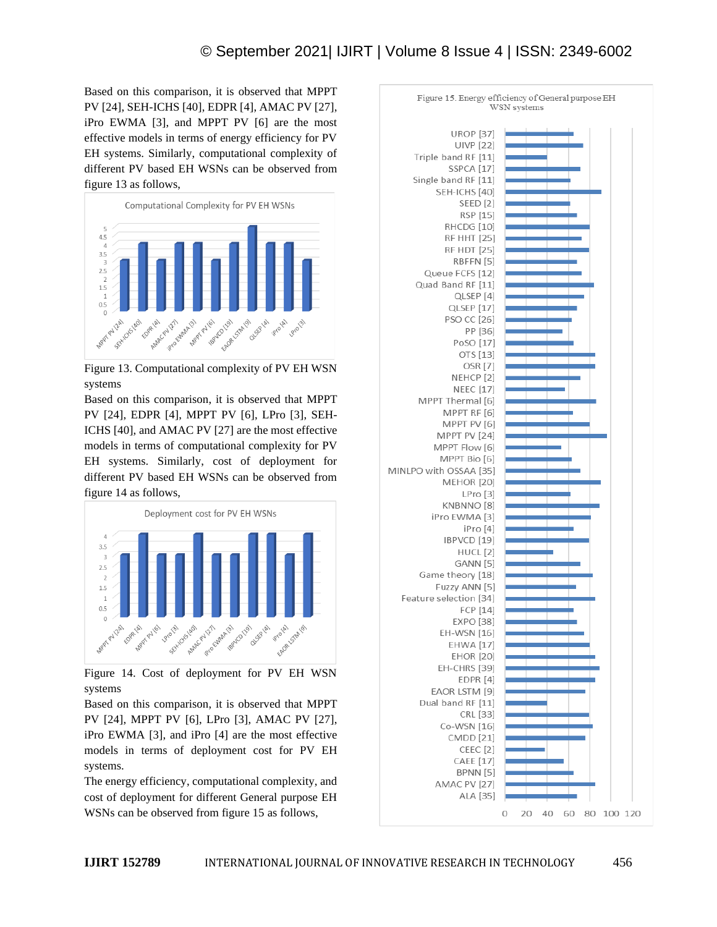### © September 2021| IJIRT | Volume 8 Issue 4 | ISSN: 2349-6002

Based on this comparison, it is observed that MPPT PV [24], SEH-ICHS [40], EDPR [4], AMAC PV [27], iPro EWMA [3], and MPPT PV [6] are the most effective models in terms of energy efficiency for PV EH systems. Similarly, computational complexity of different PV based EH WSNs can be observed from figure 13 as follows,



Figure 13. Computational complexity of PV EH WSN systems

Based on this comparison, it is observed that MPPT PV [24], EDPR [4], MPPT PV [6], LPro [3], SEH-ICHS [40], and AMAC PV [27] are the most effective models in terms of computational complexity for PV EH systems. Similarly, cost of deployment for different PV based EH WSNs can be observed from figure 14 as follows,



Figure 14. Cost of deployment for PV EH WSN systems

Based on this comparison, it is observed that MPPT PV [24], MPPT PV [6], LPro [3], AMAC PV [27], iPro EWMA [3], and iPro [4] are the most effective models in terms of deployment cost for PV EH systems.

The energy efficiency, computational complexity, and cost of deployment for different General purpose EH WSNs can be observed from figure 15 as follows,

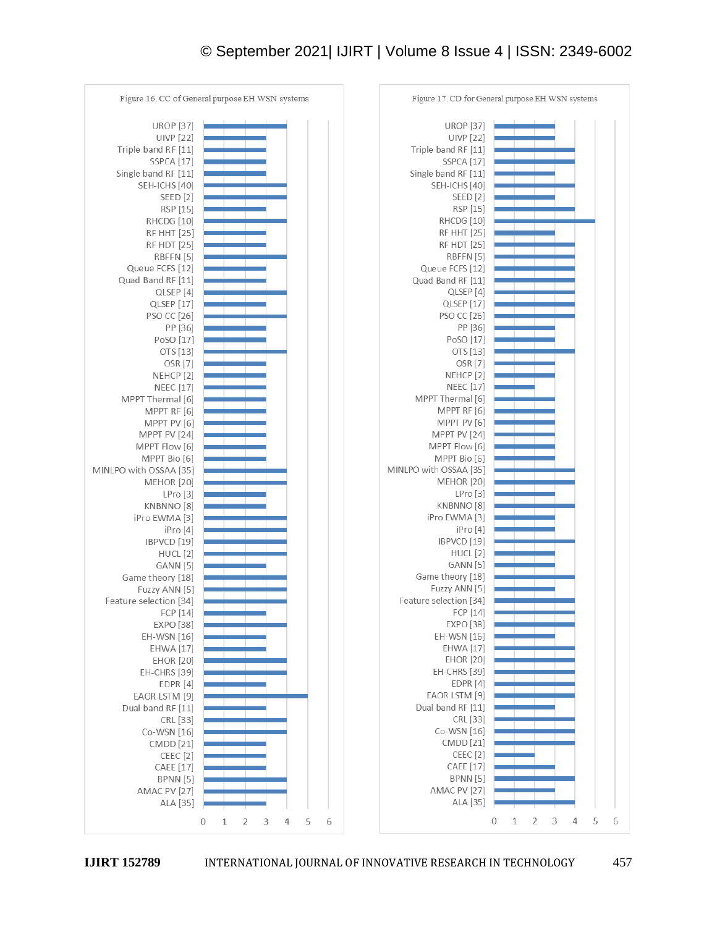## © September 2021| IJIRT | Volume 8 Issue 4 | ISSN: 2349-6002

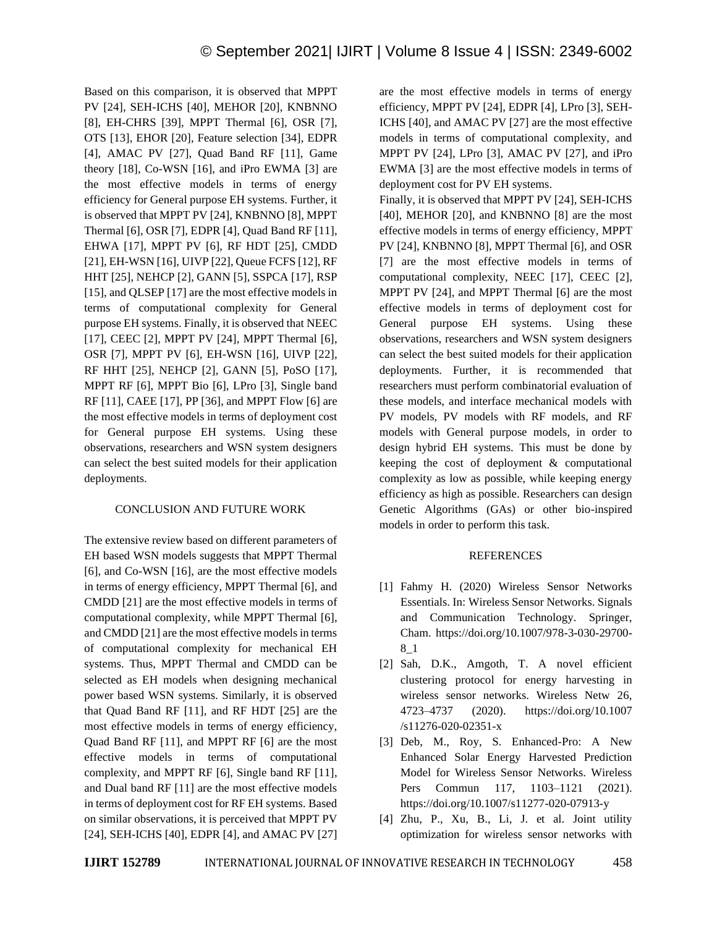Based on this comparison, it is observed that MPPT PV [24], SEH-ICHS [40], MEHOR [20], KNBNNO [8], EH-CHRS [39], MPPT Thermal [6], OSR [7], OTS [13], EHOR [20], Feature selection [34], EDPR [4], AMAC PV [27], Quad Band RF [11], Game theory [18], Co-WSN [16], and iPro EWMA [3] are the most effective models in terms of energy efficiency for General purpose EH systems. Further, it is observed that MPPT PV [24], KNBNNO [8], MPPT Thermal [6], OSR [7], EDPR [4], Quad Band RF [11], EHWA [17], MPPT PV [6], RF HDT [25], CMDD [21], EH-WSN [16], UIVP [22], Queue FCFS [12], RF HHT [25], NEHCP [2], GANN [5], SSPCA [17], RSP [15], and QLSEP [17] are the most effective models in terms of computational complexity for General purpose EH systems. Finally, it is observed that NEEC [17], CEEC [2], MPPT PV [24], MPPT Thermal [6], OSR [7], MPPT PV [6], EH-WSN [16], UIVP [22], RF HHT [25], NEHCP [2], GANN [5], PoSO [17], MPPT RF [6], MPPT Bio [6], LPro [3], Single band RF [11], CAEE [17], PP [36], and MPPT Flow [6] are the most effective models in terms of deployment cost for General purpose EH systems. Using these observations, researchers and WSN system designers can select the best suited models for their application deployments.

### CONCLUSION AND FUTURE WORK

The extensive review based on different parameters of EH based WSN models suggests that MPPT Thermal [6], and Co-WSN [16], are the most effective models in terms of energy efficiency, MPPT Thermal [6], and CMDD [21] are the most effective models in terms of computational complexity, while MPPT Thermal [6], and CMDD [21] are the most effective models in terms of computational complexity for mechanical EH systems. Thus, MPPT Thermal and CMDD can be selected as EH models when designing mechanical power based WSN systems. Similarly, it is observed that Quad Band RF [11], and RF HDT [25] are the most effective models in terms of energy efficiency, Quad Band RF [11], and MPPT RF [6] are the most effective models in terms of computational complexity, and MPPT RF [6], Single band RF [11], and Dual band RF [11] are the most effective models in terms of deployment cost for RF EH systems. Based on similar observations, it is perceived that MPPT PV [24], SEH-ICHS [40], EDPR [4], and AMAC PV [27]

are the most effective models in terms of energy efficiency, MPPT PV [24], EDPR [4], LPro [3], SEH-ICHS [40], and AMAC PV [27] are the most effective models in terms of computational complexity, and MPPT PV [24], LPro [3], AMAC PV [27], and iPro EWMA [3] are the most effective models in terms of deployment cost for PV EH systems.

Finally, it is observed that MPPT PV [24], SEH-ICHS [40], MEHOR [20], and KNBNNO [8] are the most effective models in terms of energy efficiency, MPPT PV [24], KNBNNO [8], MPPT Thermal [6], and OSR [7] are the most effective models in terms of computational complexity, NEEC [17], CEEC [2], MPPT PV [24], and MPPT Thermal [6] are the most effective models in terms of deployment cost for General purpose EH systems. Using these observations, researchers and WSN system designers can select the best suited models for their application deployments. Further, it is recommended that researchers must perform combinatorial evaluation of these models, and interface mechanical models with PV models, PV models with RF models, and RF models with General purpose models, in order to design hybrid EH systems. This must be done by keeping the cost of deployment & computational complexity as low as possible, while keeping energy efficiency as high as possible. Researchers can design Genetic Algorithms (GAs) or other bio-inspired models in order to perform this task.

### REFERENCES

- [1] Fahmy H. (2020) Wireless Sensor Networks Essentials. In: Wireless Sensor Networks. Signals and Communication Technology. Springer, Cham. https://doi.org/10.1007/978-3-030-29700- 8\_1
- [2] Sah, D.K., Amgoth, T. A novel efficient clustering protocol for energy harvesting in wireless sensor networks. Wireless Netw 26, 4723–4737 (2020). https://doi.org/10.1007 /s11276-020-02351-x
- [3] Deb, M., Roy, S. Enhanced-Pro: A New Enhanced Solar Energy Harvested Prediction Model for Wireless Sensor Networks. Wireless Pers Commun 117, 1103–1121 (2021). https://doi.org/10.1007/s11277-020-07913-y
- [4] Zhu, P., Xu, B., Li, J. et al. Joint utility optimization for wireless sensor networks with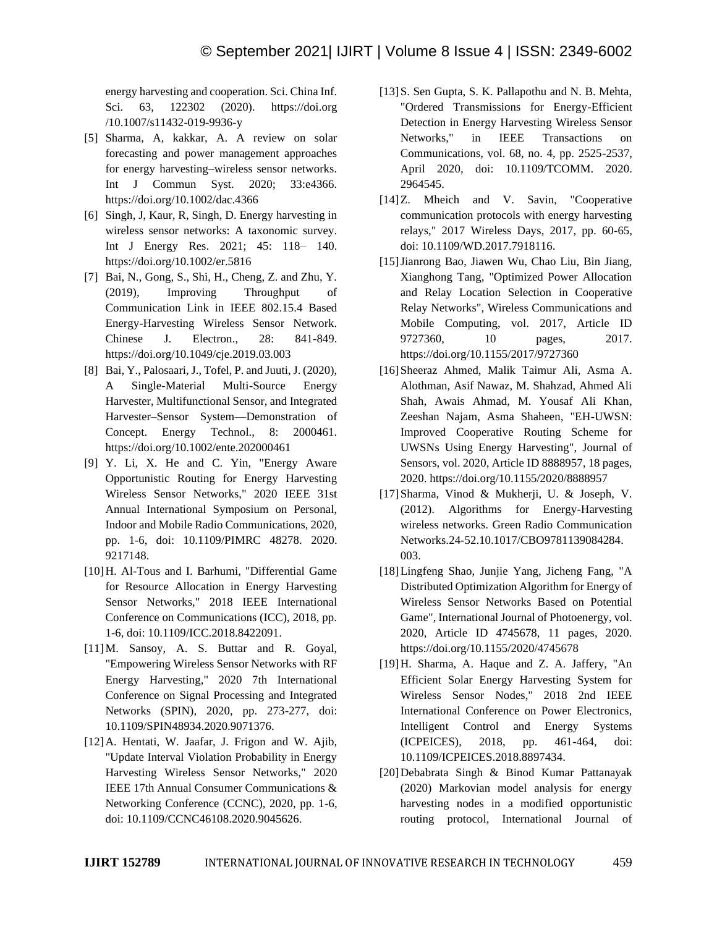energy harvesting and cooperation. Sci. China Inf. Sci. 63, 122302 (2020). https://doi.org /10.1007/s11432-019-9936-y

- [5] Sharma, A, kakkar, A. A review on solar forecasting and power management approaches for energy harvesting–wireless sensor networks. Int J Commun Syst. 2020; 33:e4366. https://doi.org/10.1002/dac.4366
- [6] Singh, J, Kaur, R, Singh, D. Energy harvesting in wireless sensor networks: A taxonomic survey. Int J Energy Res. 2021; 45: 118– 140. https://doi.org/10.1002/er.5816
- [7] Bai, N., Gong, S., Shi, H., Cheng, Z. and Zhu, Y. (2019), Improving Throughput of Communication Link in IEEE 802.15.4 Based Energy-Harvesting Wireless Sensor Network. Chinese J. Electron., 28: 841-849. https://doi.org/10.1049/cje.2019.03.003
- [8] Bai, Y., Palosaari, J., Tofel, P. and Juuti, J. (2020), A Single-Material Multi-Source Energy Harvester, Multifunctional Sensor, and Integrated Harvester–Sensor System—Demonstration of Concept. Energy Technol., 8: 2000461. https://doi.org/10.1002/ente.202000461
- [9] Y. Li, X. He and C. Yin, "Energy Aware Opportunistic Routing for Energy Harvesting Wireless Sensor Networks," 2020 IEEE 31st Annual International Symposium on Personal, Indoor and Mobile Radio Communications, 2020, pp. 1-6, doi: 10.1109/PIMRC 48278. 2020. 9217148.
- [10]H. Al-Tous and I. Barhumi, "Differential Game for Resource Allocation in Energy Harvesting Sensor Networks," 2018 IEEE International Conference on Communications (ICC), 2018, pp. 1-6, doi: 10.1109/ICC.2018.8422091.
- [11]M. Sansoy, A. S. Buttar and R. Goyal, "Empowering Wireless Sensor Networks with RF Energy Harvesting," 2020 7th International Conference on Signal Processing and Integrated Networks (SPIN), 2020, pp. 273-277, doi: 10.1109/SPIN48934.2020.9071376.
- [12]A. Hentati, W. Jaafar, J. Frigon and W. Ajib, "Update Interval Violation Probability in Energy Harvesting Wireless Sensor Networks," 2020 IEEE 17th Annual Consumer Communications & Networking Conference (CCNC), 2020, pp. 1-6, doi: 10.1109/CCNC46108.2020.9045626.
- [13] S. Sen Gupta, S. K. Pallapothu and N. B. Mehta, "Ordered Transmissions for Energy-Efficient Detection in Energy Harvesting Wireless Sensor Networks," in IEEE Transactions on Communications, vol. 68, no. 4, pp. 2525-2537, April 2020, doi: 10.1109/TCOMM. 2020. 2964545.
- [14]Z. Mheich and V. Savin, "Cooperative communication protocols with energy harvesting relays," 2017 Wireless Days, 2017, pp. 60-65, doi: 10.1109/WD.2017.7918116.
- [15]Jianrong Bao, Jiawen Wu, Chao Liu, Bin Jiang, Xianghong Tang, "Optimized Power Allocation and Relay Location Selection in Cooperative Relay Networks", Wireless Communications and Mobile Computing, vol. 2017, Article ID 9727360, 10 pages, 2017. https://doi.org/10.1155/2017/9727360
- [16]Sheeraz Ahmed, Malik Taimur Ali, Asma A. Alothman, Asif Nawaz, M. Shahzad, Ahmed Ali Shah, Awais Ahmad, M. Yousaf Ali Khan, Zeeshan Najam, Asma Shaheen, "EH-UWSN: Improved Cooperative Routing Scheme for UWSNs Using Energy Harvesting", Journal of Sensors, vol. 2020, Article ID 8888957, 18 pages, 2020. https://doi.org/10.1155/2020/8888957
- [17]Sharma, Vinod & Mukherji, U. & Joseph, V. (2012). Algorithms for Energy-Harvesting wireless networks. Green Radio Communication Networks.24-52.10.1017/CBO9781139084284. 003.
- [18]Lingfeng Shao, Junjie Yang, Jicheng Fang, "A Distributed Optimization Algorithm for Energy of Wireless Sensor Networks Based on Potential Game", International Journal of Photoenergy, vol. 2020, Article ID 4745678, 11 pages, 2020. https://doi.org/10.1155/2020/4745678
- [19]H. Sharma, A. Haque and Z. A. Jaffery, "An Efficient Solar Energy Harvesting System for Wireless Sensor Nodes," 2018 2nd IEEE International Conference on Power Electronics, Intelligent Control and Energy Systems (ICPEICES), 2018, pp. 461-464, doi: 10.1109/ICPEICES.2018.8897434.
- [20]Debabrata Singh & Binod Kumar Pattanayak (2020) Markovian model analysis for energy harvesting nodes in a modified opportunistic routing protocol, International Journal of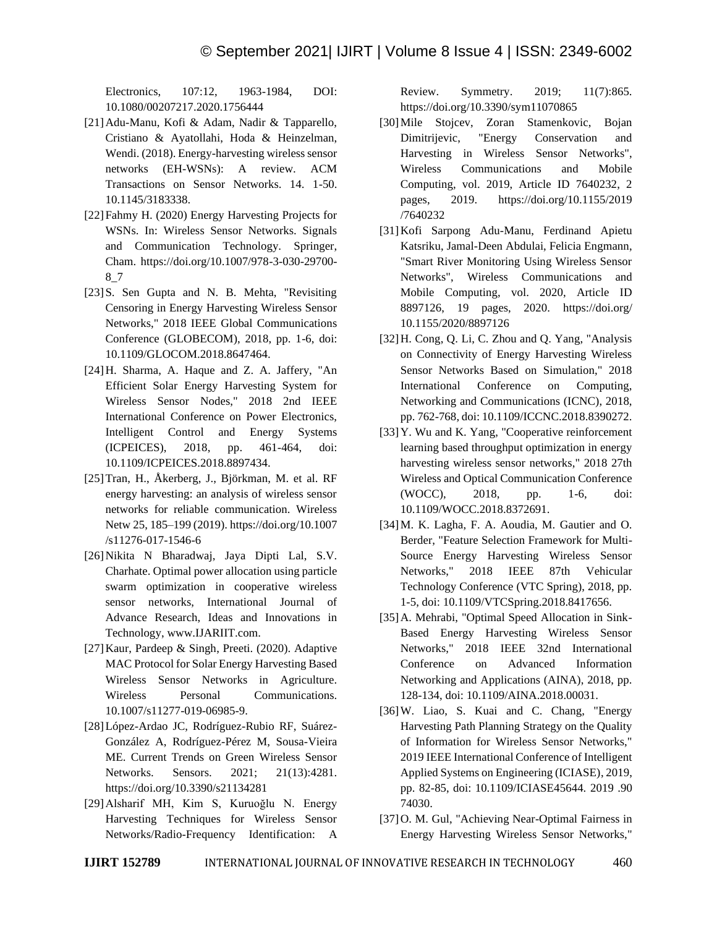Electronics, 107:12, 1963-1984, DOI: 10.1080/00207217.2020.1756444

- [21]Adu-Manu, Kofi & Adam, Nadir & Tapparello, Cristiano & Ayatollahi, Hoda & Heinzelman, Wendi. (2018). Energy-harvesting wireless sensor networks (EH-WSNs): A review. ACM Transactions on Sensor Networks. 14. 1-50. 10.1145/3183338.
- [22]Fahmy H. (2020) Energy Harvesting Projects for WSNs. In: Wireless Sensor Networks. Signals and Communication Technology. Springer, Cham. https://doi.org/10.1007/978-3-030-29700- 8\_7
- [23]S. Sen Gupta and N. B. Mehta, "Revisiting Censoring in Energy Harvesting Wireless Sensor Networks," 2018 IEEE Global Communications Conference (GLOBECOM), 2018, pp. 1-6, doi: 10.1109/GLOCOM.2018.8647464.
- [24]H. Sharma, A. Haque and Z. A. Jaffery, "An Efficient Solar Energy Harvesting System for Wireless Sensor Nodes," 2018 2nd IEEE International Conference on Power Electronics, Intelligent Control and Energy Systems (ICPEICES), 2018, pp. 461-464, doi: 10.1109/ICPEICES.2018.8897434.
- [25]Tran, H., Åkerberg, J., Björkman, M. et al. RF energy harvesting: an analysis of wireless sensor networks for reliable communication. Wireless Netw 25, 185–199 (2019). https://doi.org/10.1007 /s11276-017-1546-6
- [26]Nikita N Bharadwaj, Jaya Dipti Lal, S.V. Charhate. Optimal power allocation using particle swarm optimization in cooperative wireless sensor networks, International Journal of Advance Research, Ideas and Innovations in Technology, www.IJARIIT.com.
- [27]Kaur, Pardeep & Singh, Preeti. (2020). Adaptive MAC Protocol for Solar Energy Harvesting Based Wireless Sensor Networks in Agriculture. Wireless Personal Communications. 10.1007/s11277-019-06985-9.
- [28]López-Ardao JC, Rodríguez-Rubio RF, Suárez-González A, Rodríguez-Pérez M, Sousa-Vieira ME. Current Trends on Green Wireless Sensor Networks. Sensors. 2021; 21(13):4281. https://doi.org/10.3390/s21134281
- [29]Alsharif MH, Kim S, Kuruoğlu N. Energy Harvesting Techniques for Wireless Sensor Networks/Radio-Frequency Identification: A

Review. Symmetry. 2019; 11(7):865. https://doi.org/10.3390/sym11070865

- [30]Mile Stojcev, Zoran Stamenkovic, Bojan Dimitrijevic, "Energy Conservation and Harvesting in Wireless Sensor Networks", Wireless Communications and Mobile Computing, vol. 2019, Article ID 7640232, 2 pages, 2019. https://doi.org/10.1155/2019 /7640232
- [31]Kofi Sarpong Adu-Manu, Ferdinand Apietu Katsriku, Jamal-Deen Abdulai, Felicia Engmann, "Smart River Monitoring Using Wireless Sensor Networks", Wireless Communications and Mobile Computing, vol. 2020, Article ID 8897126, 19 pages, 2020. https://doi.org/ 10.1155/2020/8897126
- [32]H. Cong, Q. Li, C. Zhou and Q. Yang, "Analysis on Connectivity of Energy Harvesting Wireless Sensor Networks Based on Simulation," 2018 International Conference on Computing, Networking and Communications (ICNC), 2018, pp. 762-768, doi: 10.1109/ICCNC.2018.8390272.
- [33] Y. Wu and K. Yang, "Cooperative reinforcement learning based throughput optimization in energy harvesting wireless sensor networks," 2018 27th Wireless and Optical Communication Conference (WOCC), 2018, pp. 1-6, doi: 10.1109/WOCC.2018.8372691.
- [34]M. K. Lagha, F. A. Aoudia, M. Gautier and O. Berder, "Feature Selection Framework for Multi-Source Energy Harvesting Wireless Sensor Networks," 2018 IEEE 87th Vehicular Technology Conference (VTC Spring), 2018, pp. 1-5, doi: 10.1109/VTCSpring.2018.8417656.
- [35]A. Mehrabi, "Optimal Speed Allocation in Sink-Based Energy Harvesting Wireless Sensor Networks," 2018 IEEE 32nd International Conference on Advanced Information Networking and Applications (AINA), 2018, pp. 128-134, doi: 10.1109/AINA.2018.00031.
- [36]W. Liao, S. Kuai and C. Chang, "Energy Harvesting Path Planning Strategy on the Quality of Information for Wireless Sensor Networks," 2019 IEEE International Conference of Intelligent Applied Systems on Engineering (ICIASE), 2019, pp. 82-85, doi: 10.1109/ICIASE45644. 2019 .90 74030.
- [37] O. M. Gul, "Achieving Near-Optimal Fairness in Energy Harvesting Wireless Sensor Networks,"